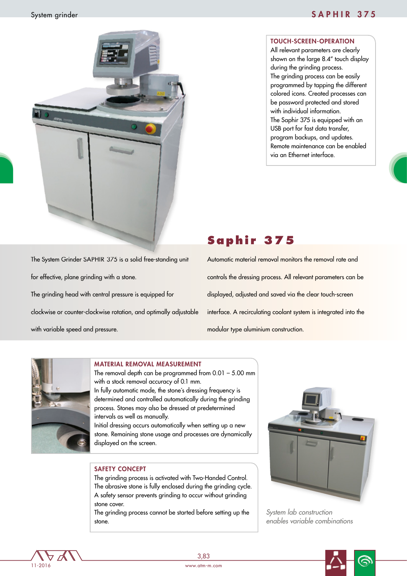

### TOUCH-SCREEN-OPERATION

All relevant parameters are clearly shown on the large 8.4" touch display during the grinding process. The grinding process can be easily programmed by tapping the different colored icons. Created processes can be password protected and stored with individual information. The Saphir 375 is equipped with an USB port for fast data transfer, program backups, and updates. Remote maintenance can be enabled via an Ethernet interface.

The System Grinder SAPHIR 375 is a solid free-standing unit for effective, plane grinding with a stone. The grinding head with central pressure is equipped for clockwise or counter-clockwise rotation, and optimally adjustable with variable speed and pressure.

# **Saphir 375**

Automatic material removal monitors the removal rate and controls the dressing process. All relevant parameters can be displayed, adjusted and saved via the clear touch-screen interface. A recirculating coolant system is integrated into the modular type aluminium construction.



#### MATERIAL REMOVAL MEASUREMENT

The removal depth can be programmed from 0.01 – 5.00 mm with a stock removal accuracy of 0.1 mm. In fully automatic mode, the stone´s dressing frequency is determined and controlled automatically during the grinding process. Stones may also be dressed at predetermined intervals as well as manually.

Initial dressing occurs automatically when setting up a new stone. Remaining stone usage and processes are dynamically displayed on the screen.

## SAFETY CONCEPT

The grinding process is activated with Two-Handed Control. The abrasive stone is fully enclosed during the grinding cycle. A safety sensor prevents grinding to occur without grinding stone cover.

The grinding process cannot be started before setting up the stone.



*System lab construction enables variable combinations*

11-2016

3,83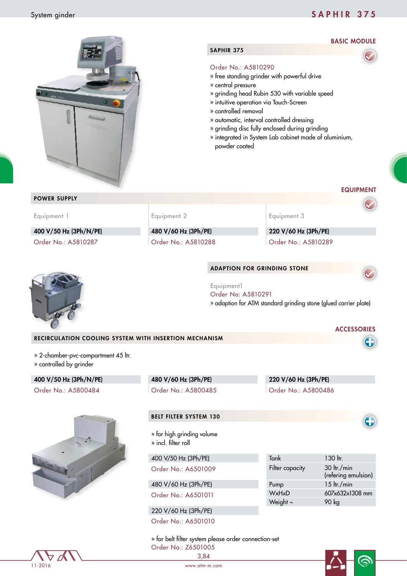## System ginder System ginder SAPHIR 375

BASIC MODULE

ෛ



## SAPHIR 375

#### Order No.: A5810290

- » free standing grinder with powerful drive
- » central pressure
- » grinding head Rubin 530 with variable speed
- » intuitive operation via Touch-Screen
- » controlled removal
- » automatic, interval controlled dressing
- » grinding disc fully enclosed during grinding
- » integrated in System Lab cabinet made of aluminium, powder coated

|                                                                |                                                                        | powder coated |                        |                                                                  |
|----------------------------------------------------------------|------------------------------------------------------------------------|---------------|------------------------|------------------------------------------------------------------|
|                                                                |                                                                        |               |                        | <b>EQUIPMENT</b>                                                 |
| <b>POWER SUPPLY</b>                                            |                                                                        |               |                        |                                                                  |
| Equipment 1                                                    | Equipment 2                                                            |               | Equipment 3            |                                                                  |
| 400 V/50 Hz (3Ph/N/PE)                                         | 480 V/60 Hz (3Ph/PE)                                                   |               | 220 V/60 Hz (3Ph/PE)   |                                                                  |
| Order No.: A5810287                                            | Order No.: A5810288                                                    |               | Order No.: A5810289    |                                                                  |
|                                                                | <b>ADAPTION FOR GRINDING STONE</b><br>Equipment1<br>Order No: A5810291 |               |                        |                                                                  |
|                                                                |                                                                        |               |                        | » adaption for ATM standard grinding stone (glued carrier plate) |
|                                                                |                                                                        |               |                        | <b>ACCESSORIES</b>                                               |
| RECIRCULATION COOLING SYSTEM WITH INSERTION MECHANISM          |                                                                        |               |                        |                                                                  |
| » 2-chamber-pvc-compartment 45 ltr.<br>» controlled by grinder |                                                                        |               |                        |                                                                  |
| 400 V/50 Hz (3Ph/N/PE)                                         | 480 V/60 Hz (3Ph/PE)                                                   |               | 220 V/60 Hz (3Ph/PE)   |                                                                  |
| Order No.: A5800484                                            | Order No.: A5800485                                                    |               | Order No.: A5800486    |                                                                  |
|                                                                | <b>BELT FILTER SYSTEM 130</b>                                          |               |                        |                                                                  |
|                                                                | » for high grinding volume<br>» incl. filter roll                      |               |                        |                                                                  |
|                                                                | 400 V/50 Hz (3Ph/PE)                                                   |               | Tank                   | 130 ltr.                                                         |
|                                                                | Order No.: A6501009                                                    |               | Filter capacity        | 30 ltr./min<br>(refering emulsion)                               |
|                                                                | 480 V/60 Hz (3Ph/PE)                                                   |               | Pump                   | $15$ ltr./min                                                    |
|                                                                | Order No.: A6501011                                                    |               | WxHxD<br>Weight $\sim$ | 607x632x1308 mm<br>90 kg                                         |
|                                                                | 220 V/60 Hz (3Ph/PE)                                                   |               |                        |                                                                  |
|                                                                | Order No.: A6501010                                                    |               |                        |                                                                  |
|                                                                | » for belt filter system please order connection-set                   |               |                        |                                                                  |

 $\overrightarrow{D}$  $11 - 2016$ 

3,84 Order No.: Z6501005

www.atm-m.com